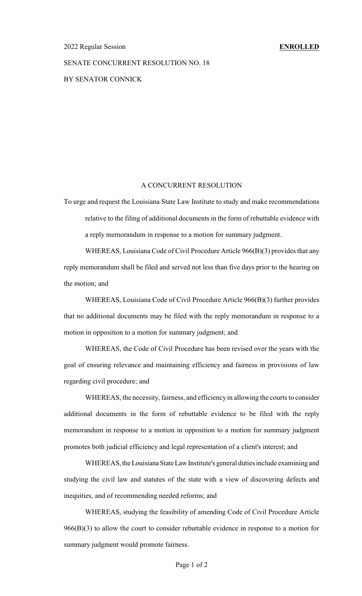#### 2022 Regular Session **ENROLLED**

## SENATE CONCURRENT RESOLUTION NO. 18

BY SENATOR CONNICK

## A CONCURRENT RESOLUTION

To urge and request the Louisiana State Law Institute to study and make recommendations relative to the filing of additional documents in the form of rebuttable evidence with a reply memorandum in response to a motion for summary judgment.

WHEREAS, Louisiana Code of Civil Procedure Article 966(B)(3) provides that any reply memorandum shall be filed and served not less than five days prior to the hearing on the motion; and

WHEREAS, Louisiana Code of Civil Procedure Article 966(B)(3) further provides that no additional documents may be filed with the reply memorandum in response to a motion in opposition to a motion for summary judgment; and

WHEREAS, the Code of Civil Procedure has been revised over the years with the goal of ensuring relevance and maintaining efficiency and fairness in provisions of law regarding civil procedure; and

WHEREAS, the necessity, fairness, and efficiency in allowing the courts to consider additional documents in the form of rebuttable evidence to be filed with the reply memorandum in response to a motion in opposition to a motion for summary judgment promotes both judicial efficiency and legal representation of a client's interest; and

WHEREAS, the Louisiana State Law Institute's general duties include examining and studying the civil law and statutes of the state with a view of discovering defects and inequities, and of recommending needed reforms; and

WHEREAS, studying the feasibility of amending Code of Civil Procedure Article 966(B)(3) to allow the court to consider rebuttable evidence in response to a motion for summary judgment would promote fairness.